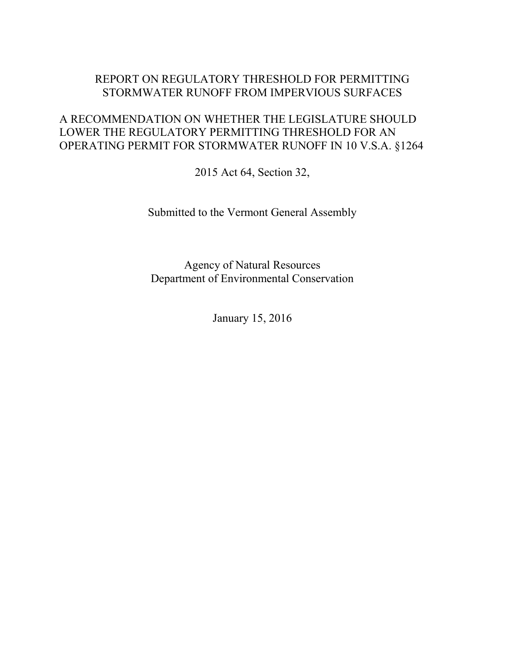# REPORT ON REGULATORY THRESHOLD FOR PERMITTING STORMWATER RUNOFF FROM IMPERVIOUS SURFACES

# A RECOMMENDATION ON WHETHER THE LEGISLATURE SHOULD LOWER THE REGULATORY PERMITTING THRESHOLD FOR AN OPERATING PERMIT FOR STORMWATER RUNOFF IN 10 V.S.A. §1264

2015 Act 64, Section 32,

Submitted to the Vermont General Assembly

Agency of Natural Resources Department of Environmental Conservation

January 15, 2016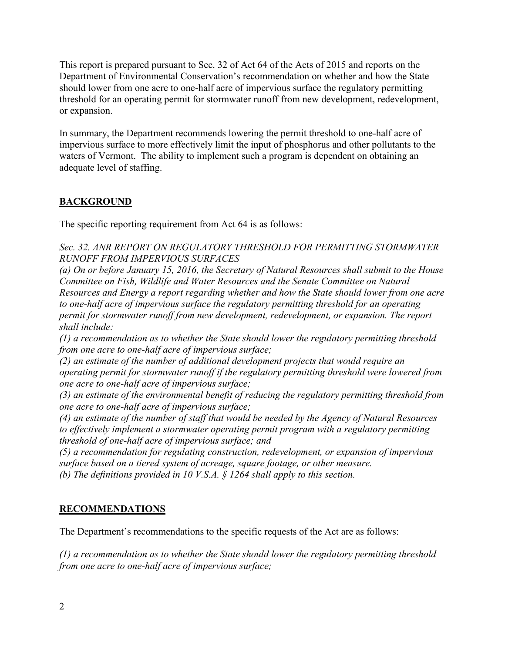This report is prepared pursuant to Sec. 32 of Act 64 of the Acts of 2015 and reports on the Department of Environmental Conservation's recommendation on whether and how the State should lower from one acre to one-half acre of impervious surface the regulatory permitting threshold for an operating permit for stormwater runoff from new development, redevelopment, or expansion.

In summary, the Department recommends lowering the permit threshold to one-half acre of impervious surface to more effectively limit the input of phosphorus and other pollutants to the waters of Vermont. The ability to implement such a program is dependent on obtaining an adequate level of staffing.

## **BACKGROUND**

The specific reporting requirement from Act 64 is as follows:

*Sec. 32. ANR REPORT ON REGULATORY THRESHOLD FOR PERMITTING STORMWATER RUNOFF FROM IMPERVIOUS SURFACES* 

*(a) On or before January 15, 2016, the Secretary of Natural Resources shall submit to the House Committee on Fish, Wildlife and Water Resources and the Senate Committee on Natural Resources and Energy a report regarding whether and how the State should lower from one acre to one-half acre of impervious surface the regulatory permitting threshold for an operating permit for stormwater runoff from new development, redevelopment, or expansion. The report shall include:* 

*(1) a recommendation as to whether the State should lower the regulatory permitting threshold from one acre to one-half acre of impervious surface;* 

*(2) an estimate of the number of additional development projects that would require an operating permit for stormwater runoff if the regulatory permitting threshold were lowered from one acre to one-half acre of impervious surface;* 

*(3) an estimate of the environmental benefit of reducing the regulatory permitting threshold from one acre to one-half acre of impervious surface;* 

*(4) an estimate of the number of staff that would be needed by the Agency of Natural Resources to effectively implement a stormwater operating permit program with a regulatory permitting threshold of one-half acre of impervious surface; and* 

*(5) a recommendation for regulating construction, redevelopment, or expansion of impervious surface based on a tiered system of acreage, square footage, or other measure. (b) The definitions provided in 10 V.S.A. § 1264 shall apply to this section.*

## **RECOMMENDATIONS**

The Department's recommendations to the specific requests of the Act are as follows:

*(1) a recommendation as to whether the State should lower the regulatory permitting threshold from one acre to one-half acre of impervious surface;*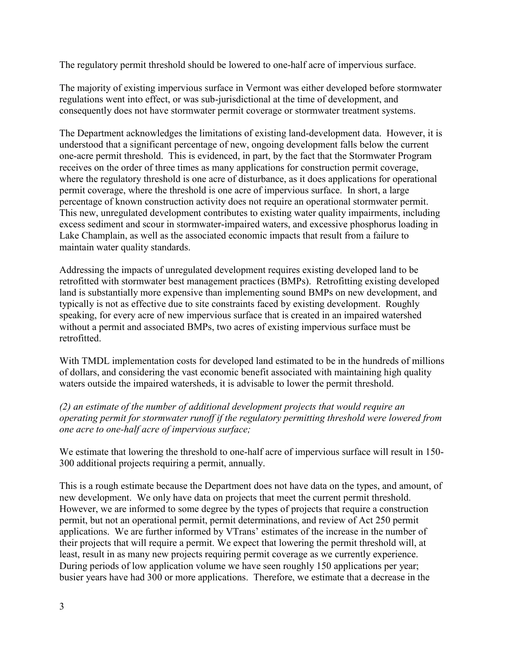The regulatory permit threshold should be lowered to one-half acre of impervious surface.

The majority of existing impervious surface in Vermont was either developed before stormwater regulations went into effect, or was sub-jurisdictional at the time of development, and consequently does not have stormwater permit coverage or stormwater treatment systems.

The Department acknowledges the limitations of existing land-development data. However, it is understood that a significant percentage of new, ongoing development falls below the current one-acre permit threshold. This is evidenced, in part, by the fact that the Stormwater Program receives on the order of three times as many applications for construction permit coverage, where the regulatory threshold is one acre of disturbance, as it does applications for operational permit coverage, where the threshold is one acre of impervious surface. In short, a large percentage of known construction activity does not require an operational stormwater permit. This new, unregulated development contributes to existing water quality impairments, including excess sediment and scour in stormwater-impaired waters, and excessive phosphorus loading in Lake Champlain, as well as the associated economic impacts that result from a failure to maintain water quality standards.

Addressing the impacts of unregulated development requires existing developed land to be retrofitted with stormwater best management practices (BMPs). Retrofitting existing developed land is substantially more expensive than implementing sound BMPs on new development, and typically is not as effective due to site constraints faced by existing development. Roughly speaking, for every acre of new impervious surface that is created in an impaired watershed without a permit and associated BMPs, two acres of existing impervious surface must be retrofitted.

With TMDL implementation costs for developed land estimated to be in the hundreds of millions of dollars, and considering the vast economic benefit associated with maintaining high quality waters outside the impaired watersheds, it is advisable to lower the permit threshold.

*(2) an estimate of the number of additional development projects that would require an operating permit for stormwater runoff if the regulatory permitting threshold were lowered from one acre to one-half acre of impervious surface;* 

We estimate that lowering the threshold to one-half acre of impervious surface will result in 150- 300 additional projects requiring a permit, annually.

This is a rough estimate because the Department does not have data on the types, and amount, of new development. We only have data on projects that meet the current permit threshold. However, we are informed to some degree by the types of projects that require a construction permit, but not an operational permit, permit determinations, and review of Act 250 permit applications. We are further informed by VTrans' estimates of the increase in the number of their projects that will require a permit. We expect that lowering the permit threshold will, at least, result in as many new projects requiring permit coverage as we currently experience. During periods of low application volume we have seen roughly 150 applications per year; busier years have had 300 or more applications. Therefore, we estimate that a decrease in the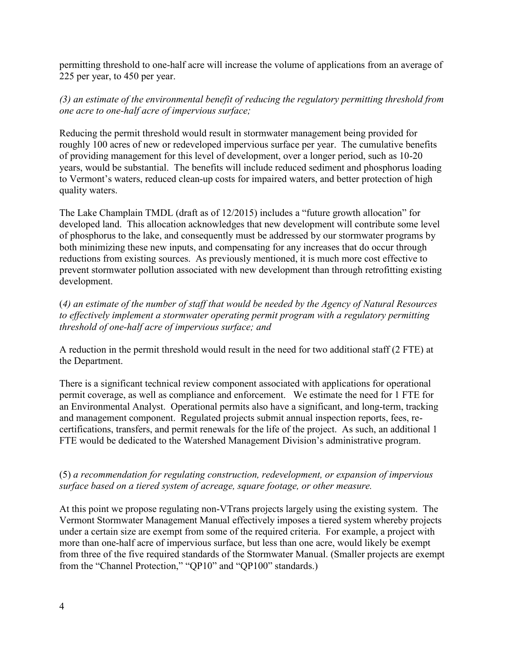permitting threshold to one-half acre will increase the volume of applications from an average of 225 per year, to 450 per year.

#### *(3) an estimate of the environmental benefit of reducing the regulatory permitting threshold from one acre to one-half acre of impervious surface;*

Reducing the permit threshold would result in stormwater management being provided for roughly 100 acres of new or redeveloped impervious surface per year. The cumulative benefits of providing management for this level of development, over a longer period, such as 10-20 years, would be substantial. The benefits will include reduced sediment and phosphorus loading to Vermont's waters, reduced clean-up costs for impaired waters, and better protection of high quality waters.

The Lake Champlain TMDL (draft as of 12/2015) includes a "future growth allocation" for developed land. This allocation acknowledges that new development will contribute some level of phosphorus to the lake, and consequently must be addressed by our stormwater programs by both minimizing these new inputs, and compensating for any increases that do occur through reductions from existing sources. As previously mentioned, it is much more cost effective to prevent stormwater pollution associated with new development than through retrofitting existing development.

(*4) an estimate of the number of staff that would be needed by the Agency of Natural Resources to effectively implement a stormwater operating permit program with a regulatory permitting threshold of one-half acre of impervious surface; and*

A reduction in the permit threshold would result in the need for two additional staff (2 FTE) at the Department.

There is a significant technical review component associated with applications for operational permit coverage, as well as compliance and enforcement. We estimate the need for 1 FTE for an Environmental Analyst. Operational permits also have a significant, and long-term, tracking and management component. Regulated projects submit annual inspection reports, fees, recertifications, transfers, and permit renewals for the life of the project. As such, an additional 1 FTE would be dedicated to the Watershed Management Division's administrative program.

#### (5) *a recommendation for regulating construction, redevelopment, or expansion of impervious surface based on a tiered system of acreage, square footage, or other measure.*

At this point we propose regulating non-VTrans projects largely using the existing system. The Vermont Stormwater Management Manual effectively imposes a tiered system whereby projects under a certain size are exempt from some of the required criteria. For example, a project with more than one-half acre of impervious surface, but less than one acre, would likely be exempt from three of the five required standards of the Stormwater Manual. (Smaller projects are exempt from the "Channel Protection," "QP10" and "QP100" standards.)